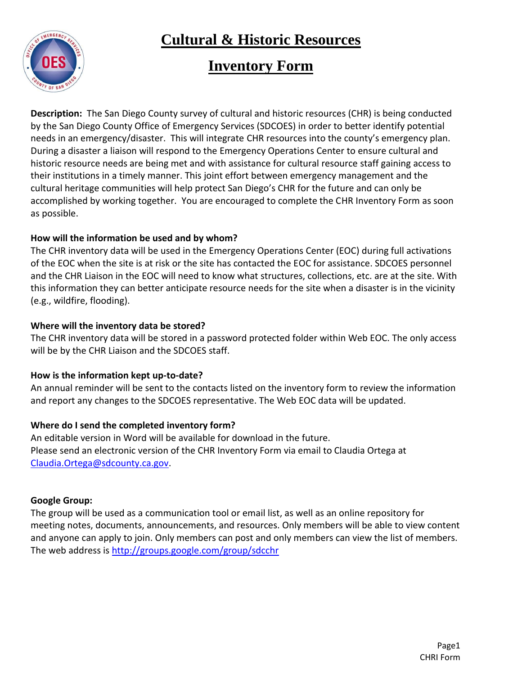

### **Inventory Form**

**Description:** The San Diego County survey of cultural and historic resources (CHR) is being conducted by the San Diego County Office of Emergency Services (SDCOES) in order to better identify potential needs in an emergency/disaster. This will integrate CHR resources into the county's emergency plan. During a disaster a liaison will respond to the Emergency Operations Center to ensure cultural and historic resource needs are being met and with assistance for cultural resource staff gaining access to their institutions in a timely manner. This joint effort between emergency management and the cultural heritage communities will help protect San Diego's CHR for the future and can only be accomplished by working together. You are encouraged to complete the CHR Inventory Form as soon as possible.

#### **How will the information be used and by whom?**

The CHR inventory data will be used in the Emergency Operations Center (EOC) during full activations of the EOC when the site is at risk or the site has contacted the EOC for assistance. SDCOES personnel and the CHR Liaison in the EOC will need to know what structures, collections, etc. are at the site. With this information they can better anticipate resource needs for the site when a disaster is in the vicinity (e.g., wildfire, flooding).

#### **Where will the inventory data be stored?**

The CHR inventory data will be stored in a password protected folder within Web EOC. The only access will be by the CHR Liaison and the SDCOES staff.

#### **How is the information kept up-to-date?**

An annual reminder will be sent to the contacts listed on the inventory form to review the information and report any changes to the SDCOES representative. The Web EOC data will be updated.

#### **Where do I send the completed inventory form?**

An editable version in Word will be available for download in the future. Please send an electronic version of the CHR Inventory Form via email to Claudia Ortega at [Claudia.Ortega@sdcounty.ca.gov.](mailto:Claudia.Ortega@sdcounty.ca.gov)

#### **Google Group:**

The group will be used as a communication tool or email list, as well as an online repository for meeting notes, documents, announcements, and resources. Only members will be able to view content and anyone can apply to join. Only members can post and only members can view the list of members. The web address is<http://groups.google.com/group/sdcchr>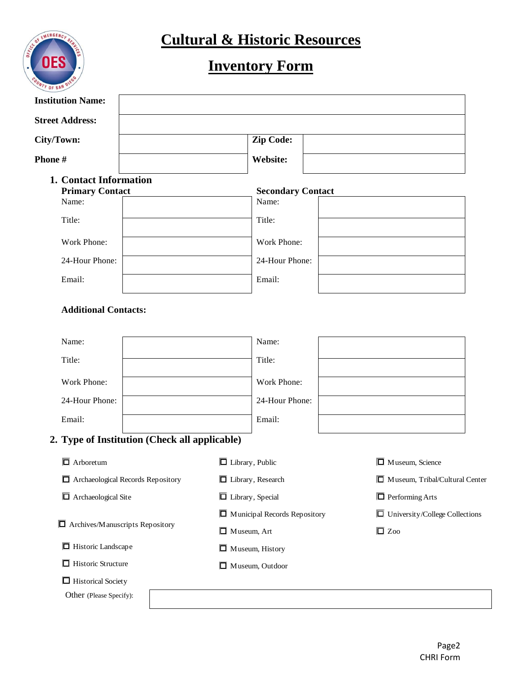

# **Inventory Form**

| <b>Institution Name:</b>                      |                                     |                                       |
|-----------------------------------------------|-------------------------------------|---------------------------------------|
| <b>Street Address:</b>                        |                                     |                                       |
| City/Town:                                    | Zip Code:                           |                                       |
| Phone#                                        | <b>Website:</b>                     |                                       |
| 1. Contact Information                        |                                     |                                       |
| <b>Primary Contact</b><br>Name:               | <b>Secondary Contact</b><br>Name:   |                                       |
| Title:                                        | Title:                              |                                       |
| Work Phone:                                   | Work Phone:                         |                                       |
| 24-Hour Phone:                                | 24-Hour Phone:                      |                                       |
| Email:                                        | Email:                              |                                       |
| <b>Additional Contacts:</b>                   |                                     |                                       |
| Name:                                         | Name:                               |                                       |
| Title:                                        | Title:                              |                                       |
| Work Phone:                                   | Work Phone:                         |                                       |
| 24-Hour Phone:                                | 24-Hour Phone:                      |                                       |
| Email:                                        | Email:                              |                                       |
| 2. Type of Institution (Check all applicable) |                                     |                                       |
| $\overline{\Box}$ Arboretum                   | $\Box$ Library, Public              | $\Box$ Museum, Science                |
| Archaeological Records Repository             | $\Box$ Library, Research            | Museum, Tribal/Cultural Center        |
| $\Box$ Archaeological Site                    | $\Box$ Library, Special             | $\Box$ Performing Arts                |
|                                               | $\Box$ Municipal Records Repository | $\Box$ University/College Collections |
| $\Box$ Archives/Manuscripts Repository        | $\Box$ Museum, Art                  | $\Box$ Zoo                            |
| $\Box$ Historic Landscape                     | $\Box$ Museum, History              |                                       |
| $\overline{\Box}$ Historic Structure          | $\Box$ Museum, Outdoor              |                                       |
| $\Box$ Historical Society                     |                                     |                                       |
| Other (Please Specify):                       |                                     |                                       |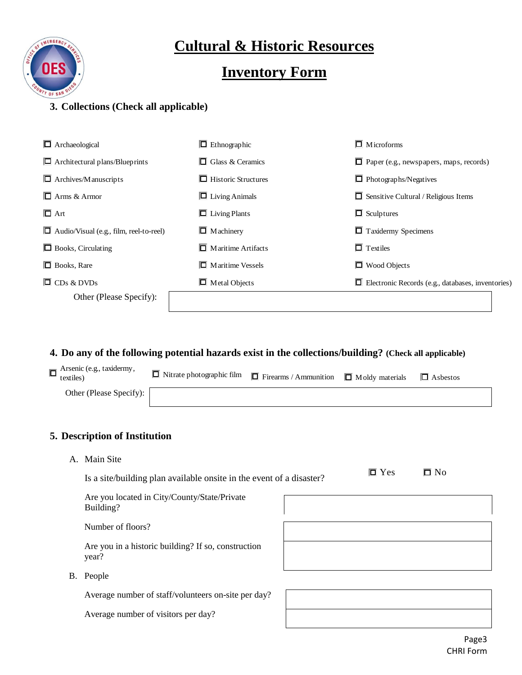

### **Inventory Form**

#### **3. Collections (Check all applicable)**

| $\Box$ Archaeological                          | $\Box$ Ethnographic             | $\Box$ Microforms                                        |
|------------------------------------------------|---------------------------------|----------------------------------------------------------|
| $\Box$ Architectural plans/Blueprints          | $\Box$ Glass & Ceramics         | $\Box$ Paper (e.g., newspapers, maps, records)           |
| $\Box$ Archives/Manuscripts                    | $\Box$ Historic Structures      | $\Box$ Photographs/Negatives                             |
| $\Box$ Arms & Armor                            | $\Box$ Living Animals           | $\Box$ Sensitive Cultural / Religious Items              |
| $\overline{\Box}$ Art                          | $\overline{\Box}$ Living Plants | $\Box$ Sculptures                                        |
| $\Box$ Audio/Visual (e.g., film, reel-to-reel) | $\Box$ Machinery                | $\Box$ Taxidermy Specimens                               |
| $\Box$ Books, Circulating                      | $\Box$ Maritime Artifacts       | $\Box$ Textiles                                          |
| $\Box$ Books, Rare                             | $\Box$ Maritime Vessels         | $\Box$ Wood Objects                                      |
| $\Box$ CDs & DVDs                              | $\Box$ Metal Objects            | $\Box$ Electronic Records (e.g., databases, inventories) |
| Other (Please Specify):                        |                                 |                                                          |

#### **4. Do any of the following potential hazards exist in the collections/building? (Check all applicable)**

| $\prod$ Arsenic (e.g., taxidermy, textiles) | $\Box$ Nitrate photographic film $\Box$ Firearms / Ammunition $\Box$ Moldy materials $\Box$ Asbestos |  |  |
|---------------------------------------------|------------------------------------------------------------------------------------------------------|--|--|
| Other (Please Specify):                     |                                                                                                      |  |  |

#### **5. Description of Institution**

A. Main Site

| Is a site/building plan available onsite in the event of a disaster? | $\overline{\Box}$ Yes | $\square$ No |
|----------------------------------------------------------------------|-----------------------|--------------|
| Are you located in City/County/State/Private<br>Building?            |                       |              |
| Number of floors?                                                    |                       |              |
| Are you in a historic building? If so, construction<br>year?         |                       |              |
| People                                                               |                       |              |

B. Peo

Average number of staff/volunteers on-site per day?

Average number of visitors per day?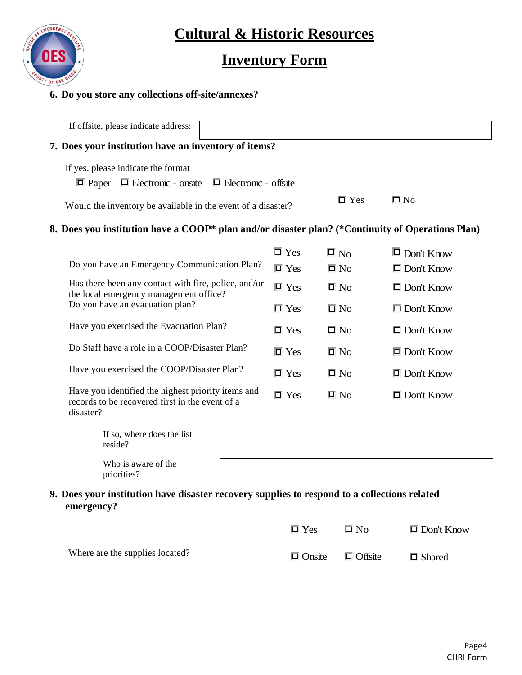

## **Inventory Form**

#### **6. Do you store any collections off-site/annexes?**

| If offsite, please indicate address:                                                                               |                       |                       |                   |  |
|--------------------------------------------------------------------------------------------------------------------|-----------------------|-----------------------|-------------------|--|
| 7. Does your institution have an inventory of items?                                                               |                       |                       |                   |  |
| If yes, please indicate the format                                                                                 |                       |                       |                   |  |
| $\Box$ Paper<br>$\Box$ Electronic - onsite<br>$\Box$ Electronic - offsite                                          |                       |                       |                   |  |
| Would the inventory be available in the event of a disaster?                                                       |                       | $\overline{\Box}$ Yes | $\Box$ No         |  |
| 8. Does you institution have a COOP* plan and/or disaster plan? (*Continuity of Operations Plan)                   |                       |                       |                   |  |
|                                                                                                                    | $\overline{\Box}$ Yes | $\Box$ No             | $\Box$ Don't Know |  |
| Do you have an Emergency Communication Plan?                                                                       | $\Box$ Yes            | $\Box$ No             | $\Box$ Don't Know |  |
| Has there been any contact with fire, police, and/or<br>the local emergency management office?                     | $\Box$ Yes            | $\overline{\Box}$ No  | $\Box$ Don't Know |  |
| Do you have an evacuation plan?                                                                                    | $\Box$ Yes            | $\square$ No          | $\Box$ Don't Know |  |
| Have you exercised the Evacuation Plan?                                                                            | $\Box$ Yes            | $\overline{\Box}$ No  | $\Box$ Don't Know |  |
| Do Staff have a role in a COOP/Disaster Plan?                                                                      | $\Box$ Yes            | $\overline{\Box}$ No  | $\Box$ Don't Know |  |
| Have you exercised the COOP/Disaster Plan?                                                                         | $\Box$ Yes            | $\Box$ No             | $\Box$ Don't Know |  |
| Have you identified the highest priority items and<br>records to be recovered first in the event of a<br>disaster? | $\overline{\Box}$ Yes | $\square$ No          | $\Box$ Don't Know |  |

| If so, where does the list<br>reside? |  |
|---------------------------------------|--|
| Who is aware of the<br>priorities?    |  |

**9. Does your institution have disaster recovery supplies to respond to a collections related emergency?**

|                                 | $\overline{\Box}$ Yes | $\Box$ No                    | $\Box$ Don't Know |
|---------------------------------|-----------------------|------------------------------|-------------------|
| Where are the supplies located? |                       | $\Box$ Onsite $\Box$ Offsite | $\Box$ Shared     |